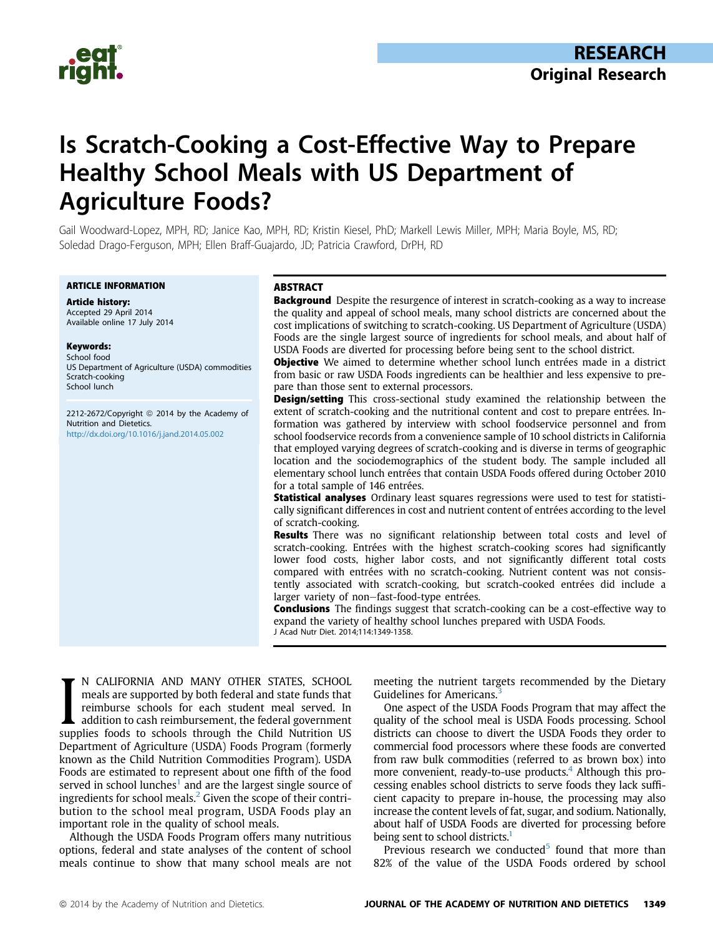

# Is Scratch-Cooking a Cost-Effective Way to Prepare Healthy School Meals with US Department of Agriculture Foods?

Gail Woodward-Lopez, MPH, RD; Janice Kao, MPH, RD; Kristin Kiesel, PhD; Markell Lewis Miller, MPH; Maria Boyle, MS, RD; Soledad Drago-Ferguson, MPH; Ellen Braff-Guajardo, JD; Patricia Crawford, DrPH, RD

#### ARTICLE INFORMATION

Article history: Accepted 29 April 2014 Available online 17 July 2014

#### Keywords:

School food US Department of Agriculture (USDA) commodities Scratch-cooking School lunch

2212-2672/Copyright @ 2014 by the Academy of Nutrition and Dietetics. http://dx.doi.org/10.1016/j.jand.2014.05.002

#### **ABSTRACT**

**Background** Despite the resurgence of interest in scratch-cooking as a way to increase the quality and appeal of school meals, many school districts are concerned about the cost implications of switching to scratch-cooking. US Department of Agriculture (USDA) Foods are the single largest source of ingredients for school meals, and about half of USDA Foods are diverted for processing before being sent to the school district.

**Objective** We aimed to determine whether school lunch entrées made in a district from basic or raw USDA Foods ingredients can be healthier and less expensive to prepare than those sent to external processors.

**Design/setting** This cross-sectional study examined the relationship between the extent of scratch-cooking and the nutritional content and cost to prepare entrées. Information was gathered by interview with school foodservice personnel and from school foodservice records from a convenience sample of 10 school districts in California that employed varying degrees of scratch-cooking and is diverse in terms of geographic location and the sociodemographics of the student body. The sample included all elementary school lunch entrées that contain USDA Foods offered during October 2010 for a total sample of 146 entrées.

**Statistical analyses** Ordinary least squares regressions were used to test for statistically significant differences in cost and nutrient content of entrées according to the level of scratch-cooking.

**Results** There was no significant relationship between total costs and level of scratch-cooking. Entrées with the highest scratch-cooking scores had significantly lower food costs, higher labor costs, and not significantly different total costs compared with entrées with no scratch-cooking. Nutrient content was not consistently associated with scratch-cooking, but scratch-cooked entrées did include a larger variety of non-fast-food-type entrées.

**Conclusions** The findings suggest that scratch-cooking can be a cost-effective way to expand the variety of healthy school lunches prepared with USDA Foods. J Acad Nutr Diet. 2014;114:1349-1358.

IN CALIFORNIA AND MANY OTHER STATES, SCHOOL<br>meals are supported by both federal and state funds that<br>reimburse schools for each student meal served. In<br>addition to cash reimbursement, the federal government<br>supplies foods N CALIFORNIA AND MANY OTHER STATES, SCHOOL meals are supported by both federal and state funds that reimburse schools for each student meal served. In addition to cash reimbursement, the federal government Department of Agriculture (USDA) Foods Program (formerly known as the Child Nutrition Commodities Program). USDA Foods are estimated to represent about one fifth of the food served in school lunches<sup>1</sup> and are the largest single source of ingredients for school meals.<sup>2</sup> Given the scope of their contribution to the school meal program, USDA Foods play an important role in the quality of school meals.

Although the USDA Foods Program offers many nutritious options, federal and state analyses of the content of school meals continue to show that many school meals are not meeting the nutrient targets recommended by the Dietary Guidelines for Americans.

One aspect of the USDA Foods Program that may affect the quality of the school meal is USDA Foods processing. School districts can choose to divert the USDA Foods they order to commercial food processors where these foods are converted from raw bulk commodities (referred to as brown box) into more convenient, ready-to-use products. $4$  Although this processing enables school districts to serve foods they lack sufficient capacity to prepare in-house, the processing may also increase the content levels of fat, sugar, and sodium. Nationally, about half of USDA Foods are diverted for processing before being sent to school districts.<sup>1</sup>

Previous research we conducted $5$  found that more than 82% of the value of the USDA Foods ordered by school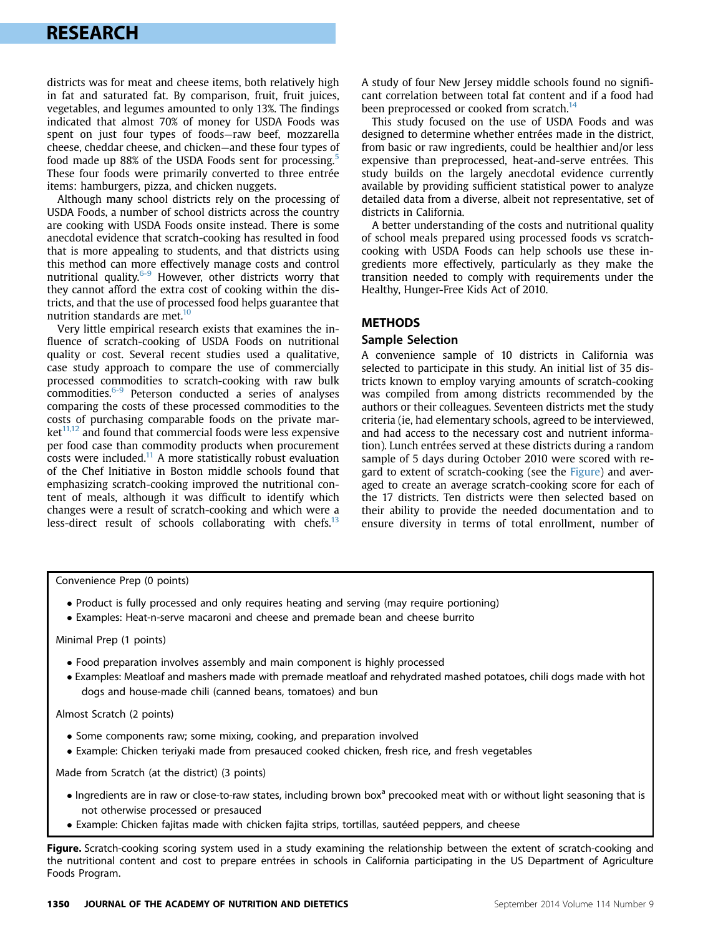### **RESEARCH** <u>research</u>

districts was for meat and cheese items, both relatively high in fat and saturated fat. By comparison, fruit, fruit juices, vegetables, and legumes amounted to only 13%. The findings indicated that almost 70% of money for USDA Foods was spent on just four types of foods—raw beef, mozzarella cheese, cheddar cheese, and chicken—and these four types of food made up 88% of the USDA Foods sent for processing.<sup>5</sup> These four foods were primarily converted to three entrée items: hamburgers, pizza, and chicken nuggets.

Although many school districts rely on the processing of USDA Foods, a number of school districts across the country are cooking with USDA Foods onsite instead. There is some anecdotal evidence that scratch-cooking has resulted in food that is more appealing to students, and that districts using this method can more effectively manage costs and control nutritional quality. $6-9$  However, other districts worry that they cannot afford the extra cost of cooking within the districts, and that the use of processed food helps guarantee that nutrition standards are met.<sup>10</sup>

Very little empirical research exists that examines the influence of scratch-cooking of USDA Foods on nutritional quality or cost. Several recent studies used a qualitative, case study approach to compare the use of commercially processed commodities to scratch-cooking with raw bulk commodities. $6-9$  Peterson conducted a series of analyses comparing the costs of these processed commodities to the costs of purchasing comparable foods on the private mar $ket$ <sup>11,12</sup> and found that commercial foods were less expensive per food case than commodity products when procurement costs were included. $11$  A more statistically robust evaluation of the Chef Initiative in Boston middle schools found that emphasizing scratch-cooking improved the nutritional content of meals, although it was difficult to identify which changes were a result of scratch-cooking and which were a less-direct result of schools collaborating with chefs.<sup>13</sup>

A study of four New Jersey middle schools found no significant correlation between total fat content and if a food had been preprocessed or cooked from scratch.<sup>14</sup>

This study focused on the use of USDA Foods and was designed to determine whether entrées made in the district, from basic or raw ingredients, could be healthier and/or less expensive than preprocessed, heat-and-serve entrées. This study builds on the largely anecdotal evidence currently available by providing sufficient statistical power to analyze detailed data from a diverse, albeit not representative, set of districts in California.

A better understanding of the costs and nutritional quality of school meals prepared using processed foods vs scratchcooking with USDA Foods can help schools use these ingredients more effectively, particularly as they make the transition needed to comply with requirements under the Healthy, Hunger-Free Kids Act of 2010.

#### **METHODS**

## mentos e<br>Sample Selection

A convenience sample of 10 districts in California was selected to participate in this study. An initial list of 35 districts known to employ varying amounts of scratch-cooking was compiled from among districts recommended by the authors or their colleagues. Seventeen districts met the study criteria (ie, had elementary schools, agreed to be interviewed, and had access to the necessary cost and nutrient information). Lunch entrées served at these districts during a random sample of 5 days during October 2010 were scored with regard to extent of scratch-cooking (see the Figure) and averaged to create an average scratch-cooking score for each of the 17 districts. Ten districts were then selected based on their ability to provide the needed documentation and to ensure diversity in terms of total enrollment, number of

Convenience Prep (0 points)

- Product is fully processed and only requires heating and serving (may require portioning)
- Examples: Heat-n-serve macaroni and cheese and premade bean and cheese burrito

Minimal Prep (1 points)

- Food preparation involves assembly and main component is highly processed
- Examples: Meatloaf and mashers made with premade meatloaf and rehydrated mashed potatoes, chili dogs made with hot dogs and house-made chili (canned beans, tomatoes) and bun

Almost Scratch (2 points)

- Some components raw; some mixing, cooking, and preparation involved
- Example: Chicken teriyaki made from presauced cooked chicken, fresh rice, and fresh vegetables

Made from Scratch (at the district) (3 points)

- $\bullet$  Ingredients are in raw or close-to-raw states, including brown box<sup>a</sup> precooked meat with or without light seasoning that is not otherwise processed or presauced
- Example: Chicken fajitas made with chicken fajita strips, tortillas, sautéed peppers, and cheese

Figure. Scratch-cooking scoring system used in a study examining the relationship between the extent of scratch-cooking and the nutritional content and cost to prepare entrées in schools in California participating in the US Department of Agriculture Foods Program.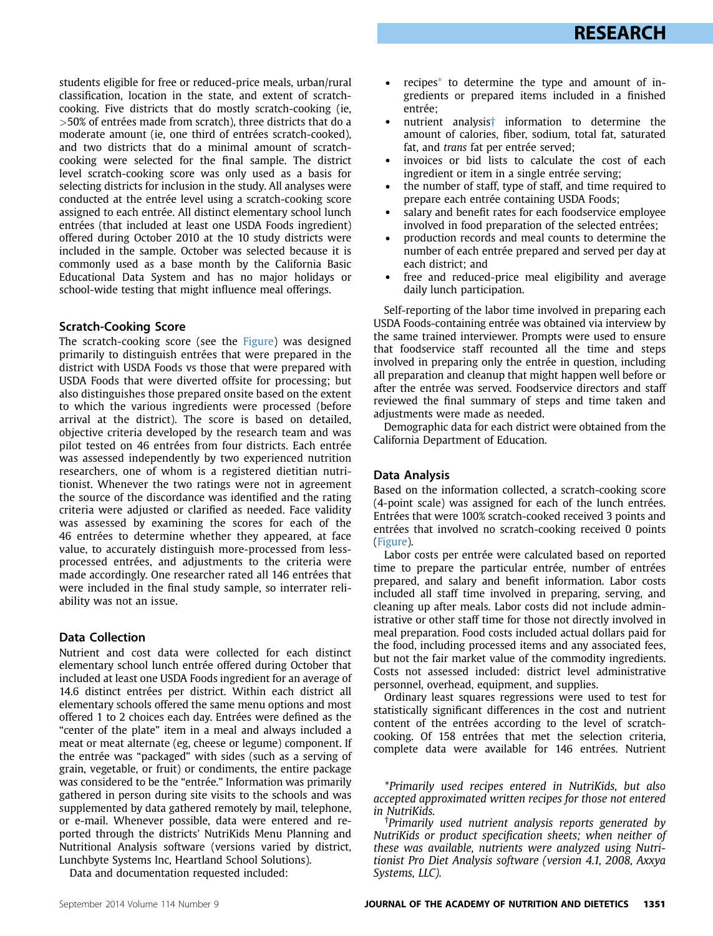students eligible for free or reduced-price meals, urban/rural classification, location in the state, and extent of scratchcooking. Five districts that do mostly scratch-cooking (ie, >50% of entrées made from scratch), three districts that do a moderate amount (ie, one third of entrées scratch-cooked), and two districts that do a minimal amount of scratchcooking were selected for the final sample. The district level scratch-cooking score was only used as a basis for selecting districts for inclusion in the study. All analyses were conducted at the entrée level using a scratch-cooking score assigned to each entrée. All distinct elementary school lunch entrées (that included at least one USDA Foods ingredient) offered during October 2010 at the 10 study districts were included in the sample. October was selected because it is commonly used as a base month by the California Basic Educational Data System and has no major holidays or school-wide testing that might influence meal offerings.

### Scratch-Cooking Score

The scratch-cooking score (see the Figure) was designed primarily to distinguish entrées that were prepared in the district with USDA Foods vs those that were prepared with USDA Foods that were diverted offsite for processing; but also distinguishes those prepared onsite based on the extent to which the various ingredients were processed (before arrival at the district). The score is based on detailed, objective criteria developed by the research team and was pilot tested on 46 entrées from four districts. Each entrée was assessed independently by two experienced nutrition researchers, one of whom is a registered dietitian nutritionist. Whenever the two ratings were not in agreement the source of the discordance was identified and the rating criteria were adjusted or clarified as needed. Face validity was assessed by examining the scores for each of the 46 entrées to determine whether they appeared, at face value, to accurately distinguish more-processed from lessprocessed entrées, and adjustments to the criteria were made accordingly. One researcher rated all 146 entrées that were included in the final study sample, so interrater reliability was not an issue.

### Data Collection

Nutrient and cost data were collected for each distinct elementary school lunch entrée offered during October that included at least one USDA Foods ingredient for an average of 14.6 distinct entrées per district. Within each district all elementary schools offered the same menu options and most offered 1 to 2 choices each day. Entrées were defined as the "center of the plate" item in a meal and always included a meat or meat alternate (eg, cheese or legume) component. If the entrée was "packaged" with sides (such as a serving of grain, vegetable, or fruit) or condiments, the entire package was considered to be the "entrée." Information was primarily gathered in person during site visits to the schools and was supplemented by data gathered remotely by mail, telephone, or e-mail. Whenever possible, data were entered and reported through the districts' NutriKids Menu Planning and Nutritional Analysis software (versions varied by district, Lunchbyte Systems Inc, Heartland School Solutions).

Data and documentation requested included:

- recipes\* to determine the type and amount of ingredients or prepared items included in a finished entrée;
- nutrient analysis† information to determine the amount of calories, fiber, sodium, total fat, saturated fat, and trans fat per entrée served;
- invoices or bid lists to calculate the cost of each ingredient or item in a single entrée serving;
- the number of staff, type of staff, and time required to prepare each entrée containing USDA Foods;
- salary and benefit rates for each foodservice employee involved in food preparation of the selected entrées;
- production records and meal counts to determine the number of each entrée prepared and served per day at each district; and
- free and reduced-price meal eligibility and average daily lunch participation.

Self-reporting of the labor time involved in preparing each USDA Foods-containing entrée was obtained via interview by the same trained interviewer. Prompts were used to ensure that foodservice staff recounted all the time and steps involved in preparing only the entrée in question, including all preparation and cleanup that might happen well before or after the entrée was served. Foodservice directors and staff reviewed the final summary of steps and time taken and adjustments were made as needed.

Demographic data for each district were obtained from the California Department of Education.

### Data Analysis

Based on the information collected, a scratch-cooking score (4-point scale) was assigned for each of the lunch entrées. Entrées that were 100% scratch-cooked received 3 points and entrées that involved no scratch-cooking received 0 points (Figure).

Labor costs per entrée were calculated based on reported time to prepare the particular entrée, number of entrées prepared, and salary and benefit information. Labor costs included all staff time involved in preparing, serving, and cleaning up after meals. Labor costs did not include administrative or other staff time for those not directly involved in meal preparation. Food costs included actual dollars paid for the food, including processed items and any associated fees, but not the fair market value of the commodity ingredients. Costs not assessed included: district level administrative personnel, overhead, equipment, and supplies.

Ordinary least squares regressions were used to test for statistically significant differences in the cost and nutrient content of the entrées according to the level of scratchcooking. Of 158 entrées that met the selection criteria, complete data were available for 146 entrées. Nutrient

\*Primarily used recipes entered in NutriKids, but also accepted approximated written recipes for those not entered in NutriKids.

† Primarily used nutrient analysis reports generated by NutriKids or product specification sheets; when neither of these was available, nutrients were analyzed using Nutritionist Pro Diet Analysis software (version 4.1, 2008, Axxya Systems, LLC).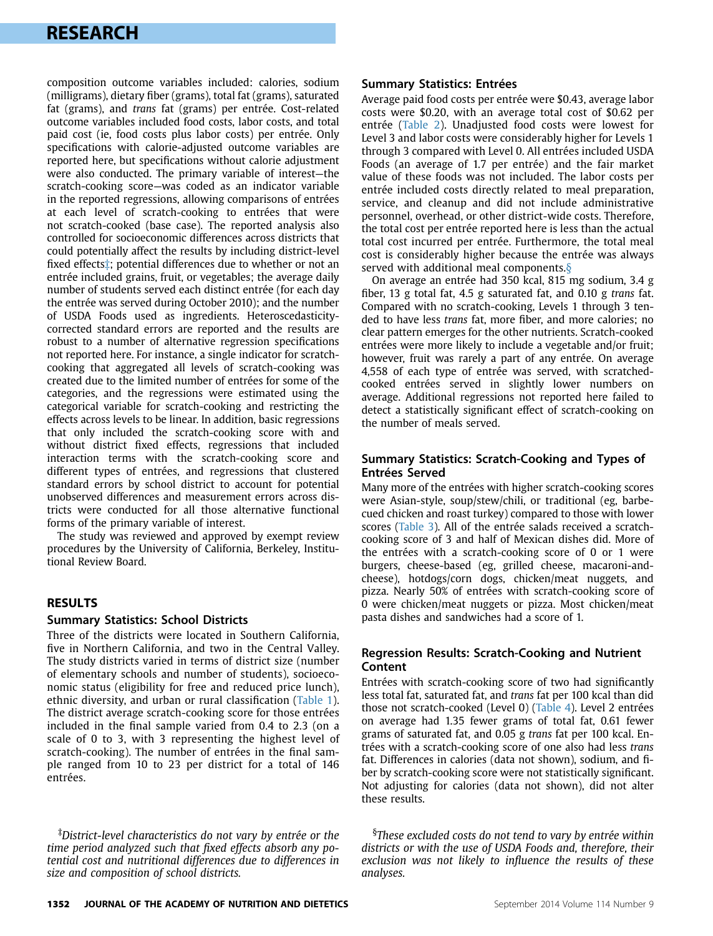### **RESEARCH** <u>research</u>

composition outcome variables included: calories, sodium (milligrams), dietary fiber (grams), total fat (grams), saturated fat (grams), and trans fat (grams) per entrée. Cost-related outcome variables included food costs, labor costs, and total paid cost (ie, food costs plus labor costs) per entrée. Only specifications with calorie-adjusted outcome variables are reported here, but specifications without calorie adjustment were also conducted. The primary variable of interest—the scratch-cooking score—was coded as an indicator variable in the reported regressions, allowing comparisons of entrées at each level of scratch-cooking to entrées that were not scratch-cooked (base case). The reported analysis also controlled for socioeconomic differences across districts that could potentially affect the results by including district-level fixed effects**‡**; potential differences due to whether or not an entrée included grains, fruit, or vegetables; the average daily number of students served each distinct entrée (for each day the entrée was served during October 2010); and the number of USDA Foods used as ingredients. Heteroscedasticitycorrected standard errors are reported and the results are robust to a number of alternative regression specifications not reported here. For instance, a single indicator for scratchcooking that aggregated all levels of scratch-cooking was created due to the limited number of entrées for some of the categories, and the regressions were estimated using the categorical variable for scratch-cooking and restricting the effects across levels to be linear. In addition, basic regressions that only included the scratch-cooking score with and without district fixed effects, regressions that included interaction terms with the scratch-cooking score and different types of entrées, and regressions that clustered standard errors by school district to account for potential unobserved differences and measurement errors across districts were conducted for all those alternative functional forms of the primary variable of interest.

The study was reviewed and approved by exempt review procedures by the University of California, Berkeley, Institutional Review Board.

## ..........<br>Summary Statistics: School Districts

Three of the districts were located in Southern California, five in Northern California, and two in the Central Valley. The study districts varied in terms of district size (number of elementary schools and number of students), socioeconomic status (eligibility for free and reduced price lunch), ethnic diversity, and urban or rural classification (Table 1). The district average scratch-cooking score for those entrées included in the final sample varied from 0.4 to 2.3 (on a scale of 0 to 3, with 3 representing the highest level of scratch-cooking). The number of entrées in the final sample ranged from 10 to 23 per district for a total of 146 entrées.

‡ District-level characteristics do not vary by entrée or the time period analyzed such that fixed effects absorb any potential cost and nutritional differences due to differences in size and composition of school districts.

#### Summary Statistics: Entrées

Average paid food costs per entrée were \$0.43, average labor costs were \$0.20, with an average total cost of \$0.62 per entrée (Table 2). Unadjusted food costs were lowest for Level 3 and labor costs were considerably higher for Levels 1 through 3 compared with Level 0. All entrées included USDA Foods (an average of 1.7 per entrée) and the fair market value of these foods was not included. The labor costs per entrée included costs directly related to meal preparation, service, and cleanup and did not include administrative personnel, overhead, or other district-wide costs. Therefore, the total cost per entrée reported here is less than the actual total cost incurred per entrée. Furthermore, the total meal cost is considerably higher because the entrée was always served with additional meal components.§

On average an entrée had 350 kcal, 815 mg sodium, 3.4 g fiber, 13 g total fat, 4.5 g saturated fat, and 0.10 g trans fat. Compared with no scratch-cooking, Levels 1 through 3 tended to have less trans fat, more fiber, and more calories; no clear pattern emerges for the other nutrients. Scratch-cooked entrées were more likely to include a vegetable and/or fruit; however, fruit was rarely a part of any entrée. On average 4,558 of each type of entrée was served, with scratchedcooked entrées served in slightly lower numbers on average. Additional regressions not reported here failed to detect a statistically significant effect of scratch-cooking on the number of meals served.

#### Summary Statistics: Scratch-Cooking and Types of Entrées Served

Many more of the entrées with higher scratch-cooking scores were Asian-style, soup/stew/chili, or traditional (eg, barbecued chicken and roast turkey) compared to those with lower scores (Table 3). All of the entrée salads received a scratchcooking score of 3 and half of Mexican dishes did. More of the entrées with a scratch-cooking score of 0 or 1 were burgers, cheese-based (eg, grilled cheese, macaroni-andcheese), hotdogs/corn dogs, chicken/meat nuggets, and pizza. Nearly 50% of entrées with scratch-cooking score of 0 were chicken/meat nuggets or pizza. Most chicken/meat pasta dishes and sandwiches had a score of 1.

### Regression Results: Scratch-Cooking and Nutrient Content

Entrées with scratch-cooking score of two had significantly less total fat, saturated fat, and trans fat per 100 kcal than did those not scratch-cooked (Level 0) (Table 4). Level 2 entrées on average had 1.35 fewer grams of total fat, 0.61 fewer grams of saturated fat, and 0.05 g trans fat per 100 kcal. Entrées with a scratch-cooking score of one also had less trans fat. Differences in calories (data not shown), sodium, and fiber by scratch-cooking score were not statistically significant. Not adjusting for calories (data not shown), did not alter these results.

 $\S$ These excluded costs do not tend to vary by entrée within districts or with the use of USDA Foods and, therefore, their exclusion was not likely to influence the results of these analyses.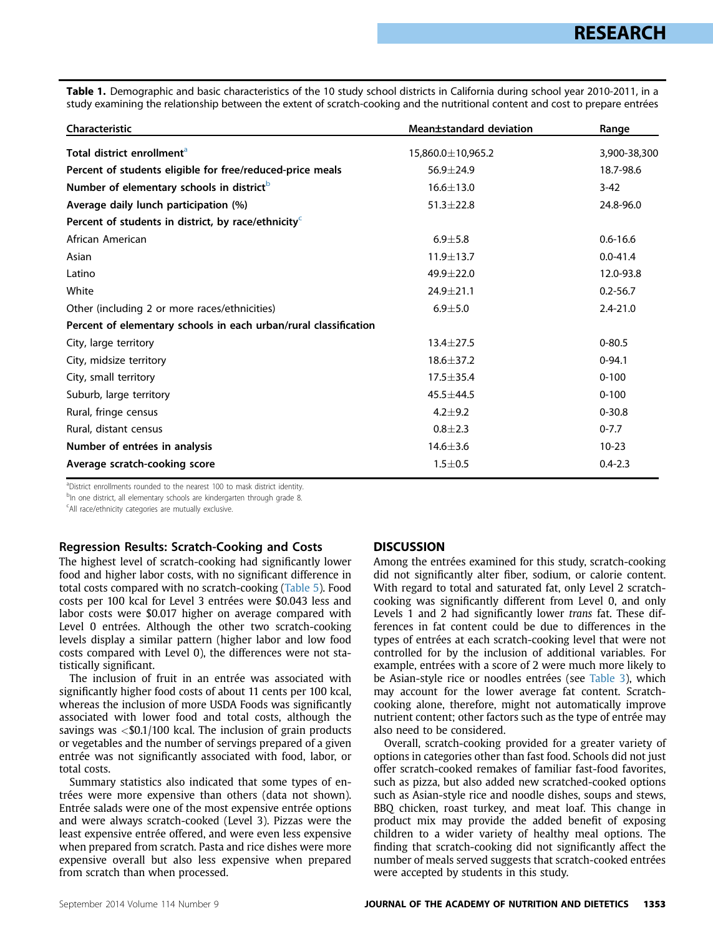Table 1. Demographic and basic characteristics of the 10 study school districts in California during school year 2010-2011, in a study examining the relationship between the extent of scratch-cooking and the nutritional content and cost to prepare entrées

| Characteristic                                                   | Mean±standard deviation | Range        |
|------------------------------------------------------------------|-------------------------|--------------|
| Total district enrollment <sup>a</sup>                           | 15,860.0 ± 10,965.2     | 3,900-38,300 |
| Percent of students eligible for free/reduced-price meals        | $56.9 \pm 24.9$         | 18.7-98.6    |
| Number of elementary schools in district <sup>b</sup>            | $16.6 \pm 13.0$         | $3-42$       |
| Average daily lunch participation (%)                            | $51.3 \pm 22.8$         | 24.8-96.0    |
| Percent of students in district, by race/ethnicity <sup>c</sup>  |                         |              |
| African American                                                 | $6.9 + 5.8$             | $0.6 - 16.6$ |
| Asian                                                            | $11.9 \pm 13.7$         | $0.0 - 41.4$ |
| Latino                                                           | $49.9 \pm 22.0$         | 12.0-93.8    |
| White                                                            | $24.9 + 21.1$           | $0.2 - 56.7$ |
| Other (including 2 or more races/ethnicities)                    | $6.9 + 5.0$             | $2.4 - 21.0$ |
| Percent of elementary schools in each urban/rural classification |                         |              |
| City, large territory                                            | $13.4 \pm 27.5$         | $0 - 80.5$   |
| City, midsize territory                                          | $18.6 + 37.2$           | $0-94.1$     |
| City, small territory                                            | $17.5 \pm 35.4$         | $0 - 100$    |
| Suburb, large territory                                          | $45.5 \pm 44.5$         | $0 - 100$    |
| Rural, fringe census                                             | $4.2 + 9.2$             | $0 - 30.8$   |
| Rural, distant census                                            | $0.8 + 2.3$             | $0 - 7.7$    |
| Number of entrées in analysis                                    | $14.6 + 3.6$            | $10 - 23$    |
| Average scratch-cooking score                                    | $1.5 + 0.5$             | $0.4 - 2.3$  |

<sup>a</sup>District enrollments rounded to the nearest 100 to mask district identity.

<sup>b</sup>In one district, all elementary schools are kindergarten through grade 8.

<sup>c</sup>All race/ethnicity categories are mutually exclusive.

#### Regression Results: Scratch-Cooking and Costs

The highest level of scratch-cooking had significantly lower food and higher labor costs, with no significant difference in total costs compared with no scratch-cooking (Table 5). Food costs per 100 kcal for Level 3 entrées were \$0.043 less and labor costs were \$0.017 higher on average compared with Level 0 entrées. Although the other two scratch-cooking levels display a similar pattern (higher labor and low food costs compared with Level 0), the differences were not statistically significant.

The inclusion of fruit in an entrée was associated with significantly higher food costs of about 11 cents per 100 kcal, whereas the inclusion of more USDA Foods was significantly associated with lower food and total costs, although the savings was  $\langle $0.1/100 \text{ kcal.}$  The inclusion of grain products or vegetables and the number of servings prepared of a given entrée was not significantly associated with food, labor, or total costs.

Summary statistics also indicated that some types of entrées were more expensive than others (data not shown). Entrée salads were one of the most expensive entrée options and were always scratch-cooked (Level 3). Pizzas were the least expensive entrée offered, and were even less expensive when prepared from scratch. Pasta and rice dishes were more expensive overall but also less expensive when prepared from scratch than when processed.

Among the entrées examined for this study, scratch-cooking did not significantly alter fiber, sodium, or calorie content. With regard to total and saturated fat, only Level 2 scratchcooking was significantly different from Level 0, and only Levels 1 and 2 had significantly lower trans fat. These differences in fat content could be due to differences in the types of entrées at each scratch-cooking level that were not controlled for by the inclusion of additional variables. For example, entrées with a score of 2 were much more likely to be Asian-style rice or noodles entrées (see Table 3), which may account for the lower average fat content. Scratchcooking alone, therefore, might not automatically improve nutrient content; other factors such as the type of entrée may also need to be considered.

Overall, scratch-cooking provided for a greater variety of options in categories other than fast food. Schools did not just offer scratch-cooked remakes of familiar fast-food favorites, such as pizza, but also added new scratched-cooked options such as Asian-style rice and noodle dishes, soups and stews, BBQ chicken, roast turkey, and meat loaf. This change in product mix may provide the added benefit of exposing children to a wider variety of healthy meal options. The finding that scratch-cooking did not significantly affect the number of meals served suggests that scratch-cooked entrées were accepted by students in this study.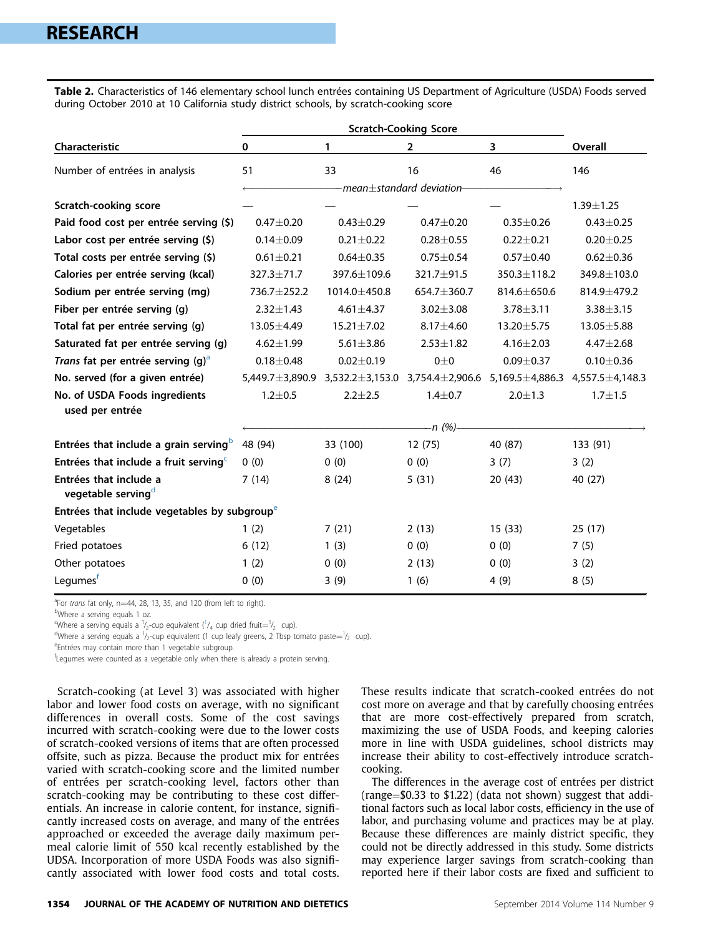Table 2. Characteristics of 146 elementary school lunch entrées containing US Department of Agriculture (USDA) Foods served during October 2010 at 10 California study district schools, by scratch-cooking score

| Characteristic                                           | 0               | 1                                           | $\overline{2}$                  | 3                     | Overall           |  |
|----------------------------------------------------------|-----------------|---------------------------------------------|---------------------------------|-----------------------|-------------------|--|
| Number of entrées in analysis                            | 51              | 33                                          | 16                              | 46                    | 146               |  |
|                                                          |                 |                                             | -mean $\pm$ standard deviation- |                       |                   |  |
| Scratch-cooking score                                    |                 |                                             |                                 |                       | $1.39 \pm 1.25$   |  |
| Paid food cost per entrée serving (\$)                   | $0.47 + 0.20$   | $0.43 + 0.29$                               | $0.47 + 0.20$                   | $0.35 + 0.26$         | $0.43 + 0.25$     |  |
| Labor cost per entrée serving (\$)                       | $0.14 \pm 0.09$ | $0.21 \pm 0.22$                             | $0.28 + 0.55$                   | $0.22 \pm 0.21$       | $0.20 \pm 0.25$   |  |
| Total costs per entrée serving (\$)                      | $0.61 \pm 0.21$ | $0.64 \pm 0.35$                             | $0.75 \pm 0.54$                 | $0.57 + 0.40$         | $0.62 \pm 0.36$   |  |
| Calories per entrée serving (kcal)                       | 327.3±71.7      | 397.6±109.6                                 | 321.7±91.5                      | 350.3±118.2           | 349.8±103.0       |  |
| Sodium per entrée serving (mg)                           | 736.7±252.2     | 1014.0±450.8                                | 654.7±360.7                     | 814.6±650.6           | 814.9±479.2       |  |
| Fiber per entrée serving (q)                             | $2.32 \pm 1.43$ | $4.61 \pm 4.37$                             | $3.02 \pm 3.08$                 | $3.78 \pm 3.11$       | $3.38 + 3.15$     |  |
| Total fat per entrée serving (g)                         | 13.05 ±4.49     | $15.21 \pm 7.02$                            | $8.17 + 4.60$                   | 13.20 ± 5.75          | 13.05 ± 5.88      |  |
| Saturated fat per entrée serving (q)                     | $4.62 \pm 1.99$ | $5.61 \pm 3.86$                             | $2.53 \pm 1.82$                 | $4.16 \pm 2.03$       | $4.47 \pm 2.68$   |  |
| Trans fat per entrée serving (q) <sup>a</sup>            | $0.18 + 0.48$   | $0.02 \pm 0.19$                             | $0\pm 0$                        | $0.09 \pm 0.37$       | $0.10 \pm 0.36$   |  |
| No. served (for a given entrée)                          |                 | $5,449.7 \pm 3,890.9$ $3,532.2 \pm 3,153.0$ | 3,754.4±2,906.6                 | 5,169.5 $\pm$ 4,886.3 | 4,557.5 ± 4,148.3 |  |
| No. of USDA Foods ingredients<br>used per entrée         | $1.2 \pm 0.5$   | $2.2 \pm 2.5$                               | $1.4 \pm 0.7$                   | $2.0 \pm 1.3$         | $1.7 \pm 1.5$     |  |
|                                                          |                 |                                             | -n (%)                          |                       |                   |  |
| Entrées that include a grain serving <sup>D</sup>        | 48 (94)         | 33 (100)                                    | 12 (75)                         | 40 (87)               | 133 (91)          |  |
| Entrées that include a fruit serving <sup>c</sup>        | 0(0)            | 0(0)                                        | 0(0)                            | 3(7)                  | 3(2)              |  |
| Entrées that include a<br>vegetable serving <sup>d</sup> | 7(14)           | 8(24)                                       | 5(31)                           | 20(43)                | 40 (27)           |  |
| Entrées that include vegetables by subgroup <sup>e</sup> |                 |                                             |                                 |                       |                   |  |
| Vegetables                                               | 1(2)            | 7(21)                                       | 2(13)                           | 15(33)                | 25(17)            |  |
| Fried potatoes                                           | 6(12)           | 1(3)                                        | 0(0)                            | 0(0)                  | 7(5)              |  |
| Other potatoes                                           | 1(2)            | 0(0)                                        | 2(13)                           | 0(0)                  | 3(2)              |  |
| Legumes <sup>f</sup>                                     | 0(0)            | 3(9)                                        | 1(6)                            | 4(9)                  | 8(5)              |  |

<sup>a</sup> For *trans* fat only, n=44, 28, 13, 35, and 120 (from left to right).<br><sup>b</sup>Where a sensing equals 1 oz

bWhere a serving equals 1 oz.

Where a serving equals a  $\frac{1}{2}$ -cup equivalent  $\frac{1}{4}$  cup dried fruit= $\frac{1}{2}$  cup).

<sup>d</sup>Where a serving equals a  $1/2$ -cup equivalent (1 cup leafy greens, 2 Tbsp tomato paste= $1/2$  cup).

Entrées may contain more than 1 vegetable subgroup.

<sup>f</sup>Legumes were counted as a vegetable only when there is already a protein serving.

Scratch-cooking (at Level 3) was associated with higher labor and lower food costs on average, with no significant differences in overall costs. Some of the cost savings incurred with scratch-cooking were due to the lower costs of scratch-cooked versions of items that are often processed offsite, such as pizza. Because the product mix for entrées varied with scratch-cooking score and the limited number of entrées per scratch-cooking level, factors other than scratch-cooking may be contributing to these cost differentials. An increase in calorie content, for instance, significantly increased costs on average, and many of the entrées approached or exceeded the average daily maximum permeal calorie limit of 550 kcal recently established by the UDSA. Incorporation of more USDA Foods was also significantly associated with lower food costs and total costs.

These results indicate that scratch-cooked entrées do not cost more on average and that by carefully choosing entrées that are more cost-effectively prepared from scratch, maximizing the use of USDA Foods, and keeping calories more in line with USDA guidelines, school districts may increase their ability to cost-effectively introduce scratchcooking.

The differences in the average cost of entrées per district  $(range= $0.33$  to  $$1.22)$  (data not shown) suggest that additional factors such as local labor costs, efficiency in the use of labor, and purchasing volume and practices may be at play. Because these differences are mainly district specific, they could not be directly addressed in this study. Some districts may experience larger savings from scratch-cooking than reported here if their labor costs are fixed and sufficient to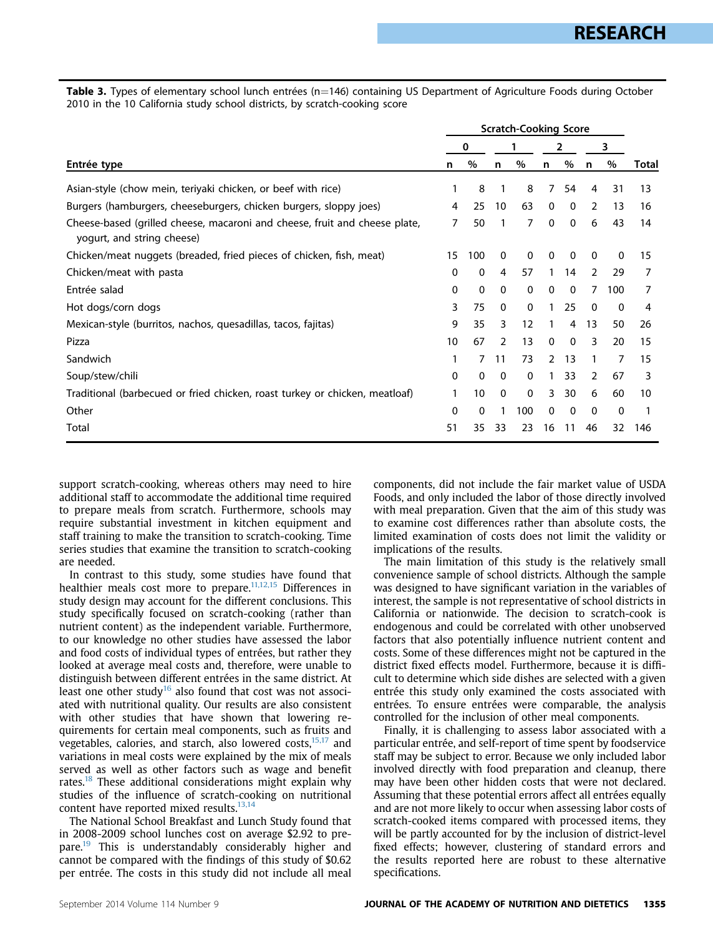Table 3. Types of elementary school lunch entrées (n=146) containing US Department of Agriculture Foods during October 2010 in the 10 California study school districts, by scratch-cooking score

|                                                                                                          | <b>Scratch-Cooking Score</b> |              |               |                |                |             |                |          |       |
|----------------------------------------------------------------------------------------------------------|------------------------------|--------------|---------------|----------------|----------------|-------------|----------------|----------|-------|
|                                                                                                          | 0                            |              |               | 2              |                | 3           |                |          |       |
| Entrée type                                                                                              | n                            | %            | n             | $\%$           | n              | $\%$        | n              | %        | Total |
| Asian-style (chow mein, teriyaki chicken, or beef with rice)                                             |                              | 8            | 1             | 8              | $\overline{7}$ | 54          | 4              | 31       | 13    |
| Burgers (hamburgers, cheeseburgers, chicken burgers, sloppy joes)                                        | 4                            | 25           | 10            | 63             | 0              | 0           | 2              | 13       | 16    |
| Cheese-based (grilled cheese, macaroni and cheese, fruit and cheese plate,<br>yogurt, and string cheese) | $\overline{7}$               | 50           | 1             | $\overline{7}$ | $\mathbf 0$    | $\mathbf 0$ | 6              | 43       | 14    |
| Chicken/meat nuggets (breaded, fried pieces of chicken, fish, meat)                                      | 15                           | 100          | 0             | $\mathbf{0}$   | 0              | 0           | $\mathbf{0}$   | $\Omega$ | 15    |
| Chicken/meat with pasta                                                                                  | 0                            | $\mathbf{0}$ | 4             | 57             | $\mathbf{1}$   | 14          | 2              | 29       | 7     |
| Entrée salad                                                                                             | 0                            | $\mathbf 0$  | $\mathbf 0$   | $\mathbf{0}$   | $\mathbf 0$    | $\mathbf 0$ | 7              | 100      | 7     |
| Hot dogs/corn dogs                                                                                       | 3                            | 75           | 0             | $\mathbf{0}$   | 1              | 25          | $\mathbf{0}$   | $\Omega$ | 4     |
| Mexican-style (burritos, nachos, quesadillas, tacos, fajitas)                                            | 9                            | 35           | 3             | 12             | $\mathbf{1}$   | 4           | 13             | 50       | 26    |
| Pizza                                                                                                    | 10                           | 67           | $\mathcal{P}$ | 13             | $\mathbf{0}$   | $\mathbf 0$ | 3              | 20       | 15    |
| Sandwich                                                                                                 |                              | 7            | 11            | 73             | $\overline{2}$ | 13          | 1              | 7        | 15    |
| Soup/stew/chili                                                                                          | 0                            | $\mathbf{0}$ | 0             | $\mathbf{0}$   | $\mathbf{1}$   | 33          | $\overline{2}$ | 67       | 3     |
| Traditional (barbecued or fried chicken, roast turkey or chicken, meatloaf)                              |                              | 10           | $\mathbf{0}$  | $\mathbf 0$    | 3              | 30          | 6              | 60       | 10    |
| Other                                                                                                    | 0                            | 0            | 1             | 100            | 0              | $\mathbf 0$ | $\mathbf 0$    | 0        |       |
| Total                                                                                                    | 51                           | 35           | 33            | 23             | 16             | 11          | 46             | 32       | 146   |

support scratch-cooking, whereas others may need to hire additional staff to accommodate the additional time required to prepare meals from scratch. Furthermore, schools may require substantial investment in kitchen equipment and staff training to make the transition to scratch-cooking. Time series studies that examine the transition to scratch-cooking are needed.

In contrast to this study, some studies have found that healthier meals cost more to prepare.<sup>11,12,15</sup> Differences in study design may account for the different conclusions. This study specifically focused on scratch-cooking (rather than nutrient content) as the independent variable. Furthermore, to our knowledge no other studies have assessed the labor and food costs of individual types of entrées, but rather they looked at average meal costs and, therefore, were unable to distinguish between different entrées in the same district. At least one other study<sup>16</sup> also found that cost was not associated with nutritional quality. Our results are also consistent with other studies that have shown that lowering requirements for certain meal components, such as fruits and vegetables, calories, and starch, also lowered costs, $15,17$  and variations in meal costs were explained by the mix of meals served as well as other factors such as wage and benefit rates.<sup>18</sup> These additional considerations might explain why studies of the influence of scratch-cooking on nutritional content have reported mixed results. $13,14$ 

The National School Breakfast and Lunch Study found that in 2008-2009 school lunches cost on average \$2.92 to prepare.<sup>19</sup> This is understandably considerably higher and cannot be compared with the findings of this study of \$0.62 per entrée. The costs in this study did not include all meal

components, did not include the fair market value of USDA Foods, and only included the labor of those directly involved with meal preparation. Given that the aim of this study was to examine cost differences rather than absolute costs, the limited examination of costs does not limit the validity or implications of the results.

The main limitation of this study is the relatively small convenience sample of school districts. Although the sample was designed to have significant variation in the variables of interest, the sample is not representative of school districts in California or nationwide. The decision to scratch-cook is endogenous and could be correlated with other unobserved factors that also potentially influence nutrient content and costs. Some of these differences might not be captured in the district fixed effects model. Furthermore, because it is difficult to determine which side dishes are selected with a given entrée this study only examined the costs associated with entrées. To ensure entrées were comparable, the analysis controlled for the inclusion of other meal components.

Finally, it is challenging to assess labor associated with a particular entrée, and self-report of time spent by foodservice staff may be subject to error. Because we only included labor involved directly with food preparation and cleanup, there may have been other hidden costs that were not declared. Assuming that these potential errors affect all entrées equally and are not more likely to occur when assessing labor costs of scratch-cooked items compared with processed items, they will be partly accounted for by the inclusion of district-level fixed effects; however, clustering of standard errors and the results reported here are robust to these alternative specifications.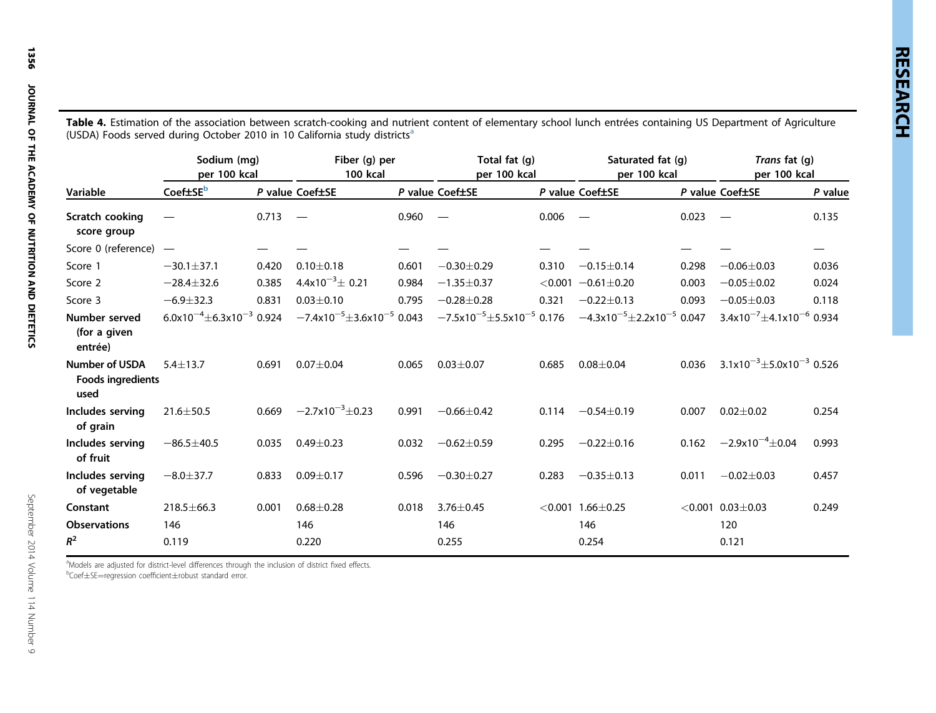|                                                           | Sodium (mg)<br>per 100 kcal         |       | Fiber (g) per<br><b>100 kcal</b>     |       | Total fat (q)<br>per 100 kcal                   |         | Saturated fat (q)<br>per 100 kcal    |       | Trans fat (q)<br>per 100 kcal       |         |
|-----------------------------------------------------------|-------------------------------------|-------|--------------------------------------|-------|-------------------------------------------------|---------|--------------------------------------|-------|-------------------------------------|---------|
| Variable                                                  | Coef±SE <sup>b</sup>                |       | P value Coef±SE                      |       | P value Coef±SE                                 |         | P value Coef±SE                      |       | P value Coef±SE                     | P value |
| Scratch cooking<br>score group                            | —                                   | 0.713 | $\sim$                               | 0.960 |                                                 | 0.006   | $\hspace{0.05cm}$                    | 0.023 |                                     | 0.135   |
| Score 0 (reference)                                       | $\overline{\phantom{a}}$            |       |                                      |       |                                                 |         |                                      |       |                                     |         |
| Score 1                                                   | $-30.1 \pm 37.1$                    | 0.420 | $0.10 + 0.18$                        | 0.601 | $-0.30 + 0.29$                                  | 0.310   | $-0.15 \pm 0.14$                     | 0.298 | $-0.06 \pm 0.03$                    | 0.036   |
| Score 2                                                   | $-28.4 \pm 32.6$                    | 0.385 | $4.4x10^{-3}$ ± 0.21                 | 0.984 | $-1.35 \pm 0.37$                                | < 0.001 | $-0.61 + 0.20$                       | 0.003 | $-0.05 \pm 0.02$                    | 0.024   |
| Score 3                                                   | $-6.9 + 32.3$                       | 0.831 | $0.03 + 0.10$                        | 0.795 | $-0.28 + 0.28$                                  | 0.321   | $-0.22 \pm 0.13$                     | 0.093 | $-0.05 + 0.03$                      | 0.118   |
| Number served<br>(for a given<br>entrée)                  | $6.0x10^{-4} \pm 6.3x10^{-3}$ 0.924 |       | $-7.4x10^{-5} \pm 3.6x10^{-5}$ 0.043 |       | $-7.5x10^{-5}$ $\pm$ 5.5x10 <sup>-5</sup> 0.176 |         | $-4.3x10^{-5} \pm 2.2x10^{-5}$ 0.047 |       | $3.4x10^{-7} \pm 4.1x10^{-6}$ 0.934 |         |
| <b>Number of USDA</b><br><b>Foods ingredients</b><br>used | $5.4 \pm 13.7$                      | 0.691 | $0.07 + 0.04$                        | 0.065 | $0.03 + 0.07$                                   | 0.685   | $0.08 + 0.04$                        | 0.036 | $3.1x10^{-3} \pm 5.0x10^{-3}$ 0.526 |         |
| Includes serving<br>of grain                              | $21.6 \pm 50.5$                     | 0.669 | $-2.7x10^{-3}$ ±0.23                 | 0.991 | $-0.66 \pm 0.42$                                | 0.114   | $-0.54 \pm 0.19$                     | 0.007 | $0.02 + 0.02$                       | 0.254   |
| Includes serving<br>of fruit                              | $-86.5 \pm 40.5$                    | 0.035 | $0.49 + 0.23$                        | 0.032 | $-0.62 \pm 0.59$                                | 0.295   | $-0.22 \pm 0.16$                     | 0.162 | $-2.9x10^{-4} \pm 0.04$             | 0.993   |
| Includes serving<br>of vegetable                          | $-8.0 \pm 37.7$                     | 0.833 | $0.09 + 0.17$                        | 0.596 | $-0.30 + 0.27$                                  | 0.283   | $-0.35 \pm 0.13$                     | 0.011 | $-0.02 \pm 0.03$                    | 0.457   |
| Constant                                                  | $218.5 \pm 66.3$                    | 0.001 | $0.68 + 0.28$                        | 0.018 | $3.76 + 0.45$                                   |         | $< 0.001$ 1.66 ± 0.25                |       | $< 0.001$ 0.03 $\pm$ 0.03           | 0.249   |
| <b>Observations</b>                                       | 146                                 |       | 146                                  |       | 146                                             |         | 146                                  |       | 120                                 |         |
| $R^2$                                                     | 0.119                               |       | 0.220                                |       | 0.255                                           |         | 0.254                                |       | 0.121                               |         |

**Table 4.** Estimation of the association between scratch-cooking and nutrient content of elementary school lunch entrées containing US Department of Agriculture (USDA) Foods served during October 2010 in 10 California study districts<sup>a</sup>

<sup>a</sup>Models are adjusted for district-level differences through the inclusion of district fixed effects.<br><sup>b</sup>Coef±SE=regression coefficient±robust standard error.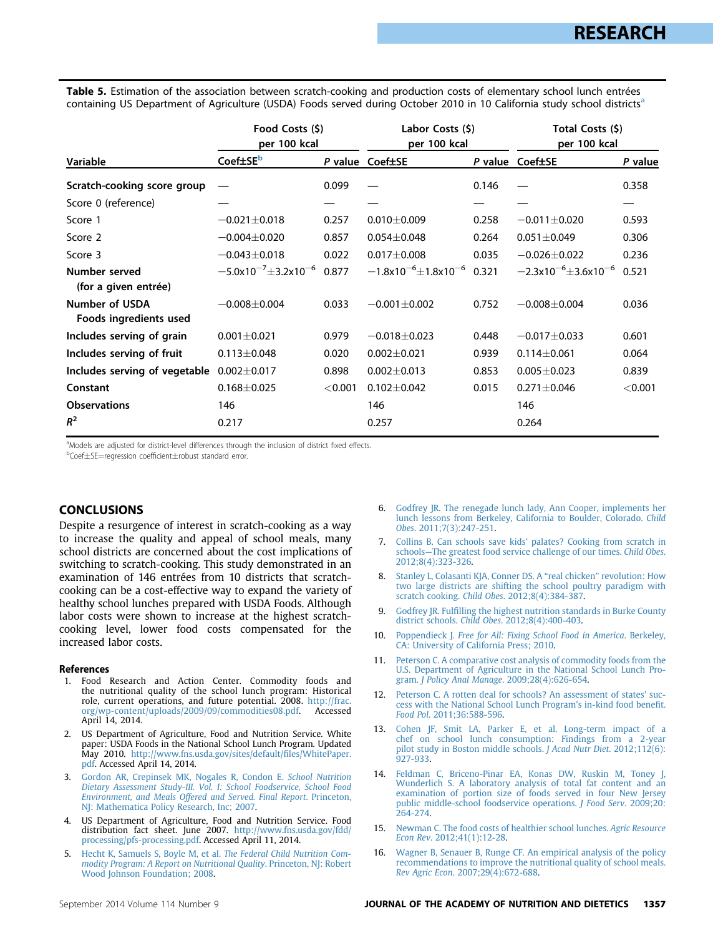Table 5. Estimation of the association between scratch-cooking and production costs of elementary school lunch entrées containing US Department of Agriculture (USDA) Foods served during October 2010 in 10 California study school districts<sup>a</sup>

|                                          | Food Costs (\$)<br>per 100 kcal |         | Labor Costs (\$)<br>per 100 kcal          |       | Total Costs (\$)<br>per 100 kcal |         |  |  |
|------------------------------------------|---------------------------------|---------|-------------------------------------------|-------|----------------------------------|---------|--|--|
| Variable                                 | Coef±SE <sup>b</sup>            |         | P value Coef±SE                           |       | P value Coef±SE                  | P value |  |  |
| Scratch-cooking score group              |                                 | 0.099   |                                           | 0.146 |                                  | 0.358   |  |  |
| Score 0 (reference)                      |                                 |         |                                           |       |                                  |         |  |  |
| Score 1                                  | $-0.021 \pm 0.018$              | 0.257   | $0.010 + 0.009$                           | 0.258 | $-0.011 \pm 0.020$               | 0.593   |  |  |
| Score 2                                  | $-0.004 + 0.020$                | 0.857   | $0.054 \pm 0.048$                         | 0.264 | $0.051 \pm 0.049$                | 0.306   |  |  |
| Score 3                                  | $-0.043 \pm 0.018$              | 0.022   | $0.017 + 0.008$                           | 0.035 | $-0.026 \pm 0.022$               | 0.236   |  |  |
| Number served<br>(for a given entrée)    | $-5.0x10^{-7} \pm 3.2x10^{-6}$  | 0.877   | $-1.8x10^{-6}$ $\pm$ 1.8x10 <sup>-6</sup> | 0.321 | $-2.3x10^{-6}+3.6x10^{-6}$       | 0.521   |  |  |
| Number of USDA<br>Foods ingredients used | $-0.008 + 0.004$                | 0.033   | $-0.001 + 0.002$                          | 0.752 | $-0.008 + 0.004$                 | 0.036   |  |  |
| Includes serving of grain                | $0.001 \pm 0.021$               | 0.979   | $-0.018 + 0.023$                          | 0.448 | $-0.017 + 0.033$                 | 0.601   |  |  |
| Includes serving of fruit                | $0.113 \pm 0.048$               | 0.020   | $0.002 \pm 0.021$                         | 0.939 | $0.114 \pm 0.061$                | 0.064   |  |  |
| Includes serving of vegetable            | $0.002 \pm 0.017$               | 0.898   | $0.002 \pm 0.013$                         | 0.853 | $0.005 \pm 0.023$                | 0.839   |  |  |
| Constant                                 | $0.168 + 0.025$                 | < 0.001 | $0.102 \pm 0.042$                         | 0.015 | $0.271 \pm 0.046$                | < 0.001 |  |  |
| <b>Observations</b>                      | 146                             |         | 146                                       |       | 146                              |         |  |  |
| $R^2$                                    | 0.217                           |         | 0.257                                     |       | 0.264                            |         |  |  |

<sup>a</sup>Models are adjusted for district-level differences through the inclusion of district fixed effects.

 $b$ Coef $\pm$ SE=regression coefficient $\pm$ robust standard error.

#### **CONCLUSIONS**

**CONCLUSIONS**<br>Despite a resurgence of interest in scratch-cooking as a way to increase the quality and appeal of school meals, many school districts are concerned about the cost implications of switching to scratch-cooking. This study demonstrated in an examination of 146 entrées from 10 districts that scratchcooking can be a cost-effective way to expand the variety of healthy school lunches prepared with USDA Foods. Although labor costs were shown to increase at the highest scratchcooking level, lower food costs compensated for the increased labor costs.

#### References

- 1. Food Research and Action Center. Commodity foods and the nutritional quality of the school lunch program: Historical role, current operations, and future potential. 2008. http://frac.<br>org/wp-content/uploads/2009/09/commodities08.pdf. Accessed org/wp-content/uploads/2009/09/commodities08.pdf. April 14, 2014.
- 2. US Department of Agriculture, Food and Nutrition Service. White paper: USDA Foods in the National School Lunch Program. Updated May 2010. http://www.fns.usda.gov/sites/default/files/WhitePaper. pdf. Accessed April 14, 2014.
- 3. Gordon AR, Crepinsek MK, Nogales R, Condon E. School Nutrition Dietary Assessment Study-III. Vol. I: School Foodservice, School Food Environment, and Meals Offered and Served. Final Report. Princeton, NJ: Mathematica Policy Research, Inc; 2007.
- 4. US Department of Agriculture, Food and Nutrition Service. Food distribution fact sheet. June 2007. http://www.fns.usda.gov/fdd/ processing/pfs-processing.pdf. Accessed April 11, 2014.
- 5. Hecht K, Samuels S, Boyle M, et al. The Federal Child Nutrition Commodity Program: A Report on Nutritional Quality. Princeton, NJ: Robert Wood Johnson Foundation; 2008.
- 6. Godfrey JR. The renegade lunch lady, Ann Cooper, implements her lunch lessons from Berkeley, California to Boulder, Colorado. Child Obes. 2011;7(3):247-251.
- 7. Collins B. Can schools save kids' palates? Cooking from scratch in schools—The greatest food service challenge of our times. Child Obes. 2012;8(4):323-326.
- 8. Stanley L, Colasanti KJA, Conner DS. A "real chicken" revolution: How two large districts are shifting the school poultry paradigm with scratch cooking. Child Obes. 2012;8(4):384-387.
- 9. Godfrey JR. Fulfilling the highest nutrition standards in Burke County district schools. Child Obes. 2012;8(4):400-403.
- 10. Poppendieck J. Free for All: Fixing School Food in America. Berkeley, CA: University of California Press; 2010.
- 11. Peterson C. A comparative cost analysis of commodity foods from the U.S. Department of Agriculture in the National School Lunch Program. J Policy Anal Manage. 2009;28(4):626-654.
- 12. Peterson C. A rotten deal for schools? An assessment of states' success with the National School Lunch Program's in-kind food benefit. Food Pol. 2011;36:588-596.
- Cohen JF, Smit LA, Parker E, et al. Long-term impact of a chef on school lunch consumption: Findings from a 2-year pilot study in Boston middle schools. J Acad Nutr Diet. 2012;112(6): 927-933.
- 14. Feldman C, Briceno-Pinar EA, Konas DW, Ruskin M, Toney J, Wunderlich S. A laboratory analysis of total fat content and an examination of portion size of foods served in four New Jersey public middle-school foodservice operations. J Food Serv. 2009;20: 264-274.
- 15. Newman C. The food costs of healthier school lunches. Agric Resource Econ Rev. 2012;41(1):12-28.
- 16. Wagner B, Senauer B, Runge CF. An empirical analysis of the policy recommendations to improve the nutritional quality of school meals. Rev Agric Econ. 2007;29(4):672-688.